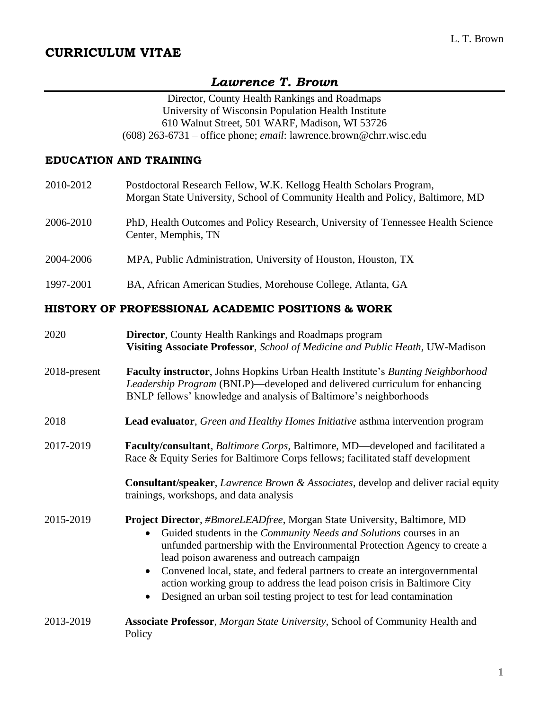# **CURRICULUM VITAE**

# *Lawrence T. Brown*

Director, County Health Rankings and Roadmaps University of Wisconsin Population Health Institute 610 Walnut Street, 501 WARF, Madison, WI 53726 (608) 263-6731 – office phone; *email*: lawrence.brown@chrr.wisc.edu

### **EDUCATION AND TRAINING**

| 2010-2012    | Postdoctoral Research Fellow, W.K. Kellogg Health Scholars Program,<br>Morgan State University, School of Community Health and Policy, Baltimore, MD                                                                               |
|--------------|------------------------------------------------------------------------------------------------------------------------------------------------------------------------------------------------------------------------------------|
| 2006-2010    | PhD, Health Outcomes and Policy Research, University of Tennessee Health Science<br>Center, Memphis, TN                                                                                                                            |
| 2004-2006    | MPA, Public Administration, University of Houston, Houston, TX                                                                                                                                                                     |
| 1997-2001    | BA, African American Studies, Morehouse College, Atlanta, GA                                                                                                                                                                       |
|              | HISTORY OF PROFESSIONAL ACADEMIC POSITIONS & WORK                                                                                                                                                                                  |
| 2020         | <b>Director, County Health Rankings and Roadmaps program</b><br>Visiting Associate Professor, School of Medicine and Public Heath, UW-Madison                                                                                      |
| 2018-present | Faculty instructor, Johns Hopkins Urban Health Institute's Bunting Neighborhood<br>Leadership Program (BNLP)—developed and delivered curriculum for enhancing<br>BNLP fellows' knowledge and analysis of Baltimore's neighborhoods |
| 2018         | <b>Lead evaluator,</b> Green and Healthy Homes Initiative asthma intervention program                                                                                                                                              |
| 2017-2019    | Faculty/consultant, Baltimore Corps, Baltimore, MD—developed and facilitated a<br>Race & Equity Series for Baltimore Corps fellows; facilitated staff development                                                                  |
|              | <b>Consultant/speaker, Lawrence Brown &amp; Associates, develop and deliver racial equity</b><br>trainings, workshops, and data analysis                                                                                           |
| 2015-2019    | Project Director, #BmoreLEADfree, Morgan State University, Baltimore, MD                                                                                                                                                           |

- Guided students in the *Community Needs and Solutions* courses in an unfunded partnership with the Environmental Protection Agency to create a lead poison awareness and outreach campaign
- Convened local, state, and federal partners to create an intergovernmental action working group to address the lead poison crisis in Baltimore City
- Designed an urban soil testing project to test for lead contamination
- 2013-2019 **Associate Professor**, *Morgan State University*, School of Community Health and Policy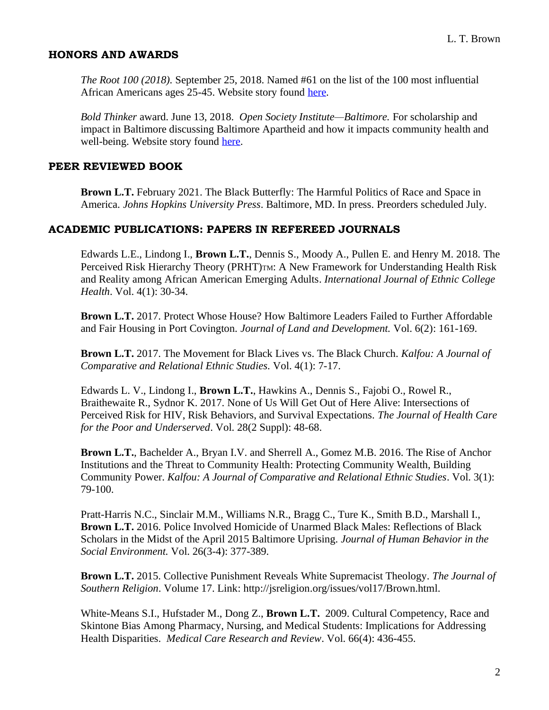### **HONORS AND AWARDS**

*The Root 100 (2018).* September 25, 2018. Named #61 on the list of the 100 most influential African Americans ages 25-45. Website story found [here.](https://interactives.theroot.com/root-100-2018/)

*Bold Thinker* award. June 13, 2018. *Open Society Institute—Baltimore.* For scholarship and impact in Baltimore discussing Baltimore Apartheid and how it impacts community health and well-being. Website story found [here.](https://www.osibaltimore.org/2018/06/open-society-institute-holds-first-event-in-20th-anniversary-speaker-series/)

#### **PEER REVIEWED BOOK**

**Brown L.T.** February 2021. The Black Butterfly: The Harmful Politics of Race and Space in America. *Johns Hopkins University Press*. Baltimore, MD. In press. Preorders scheduled July.

#### **ACADEMIC PUBLICATIONS: PAPERS IN REFEREED JOURNALS**

Edwards L.E., Lindong I., **Brown L.T.**, Dennis S., Moody A., Pullen E. and Henry M. 2018. The Perceived Risk Hierarchy Theory (PRHT)TM: A New Framework for Understanding Health Risk and Reality among African American Emerging Adults. *International Journal of Ethnic College Health*. Vol. 4(1): 30-34.

**Brown L.T.** 2017. Protect Whose House? How Baltimore Leaders Failed to Further Affordable and Fair Housing in Port Covington. *Journal of Land and Development.* Vol. 6(2): 161-169.

**Brown L.T.** 2017. The Movement for Black Lives vs. The Black Church. *Kalfou: A Journal of Comparative and Relational Ethnic Studies.* Vol. 4(1): 7-17.

Edwards L. V., Lindong I., **Brown L.T.**, Hawkins A., Dennis S., Fajobi O., Rowel R., Braithewaite R., Sydnor K. 2017. None of Us Will Get Out of Here Alive: Intersections of Perceived Risk for HIV, Risk Behaviors, and Survival Expectations. *The Journal of Health Care for the Poor and Underserved*. Vol. 28(2 Suppl): 48-68.

**Brown L.T.**, Bachelder A., Bryan I.V. and Sherrell A., Gomez M.B. 2016. The Rise of Anchor Institutions and the Threat to Community Health: Protecting Community Wealth, Building Community Power. *Kalfou: A Journal of Comparative and Relational Ethnic Studies*. Vol. 3(1): 79-100.

Pratt-Harris N.C., Sinclair M.M., Williams N.R., Bragg C., Ture K., Smith B.D., Marshall I., **Brown L.T.** 2016. Police Involved Homicide of Unarmed Black Males: Reflections of Black Scholars in the Midst of the April 2015 Baltimore Uprising. *Journal of Human Behavior in the Social Environment.* Vol. 26(3-4): 377-389.

**Brown L.T.** 2015. Collective Punishment Reveals White Supremacist Theology. *The Journal of Southern Religion*. Volume 17. Link: http://jsreligion.org/issues/vol17/Brown.html.

White-Means S.I., Hufstader M., Dong Z., **Brown L.T.** 2009. Cultural Competency, Race and Skintone Bias Among Pharmacy, Nursing, and Medical Students: Implications for Addressing Health Disparities. *Medical Care Research and Review*. Vol. 66(4): 436-455.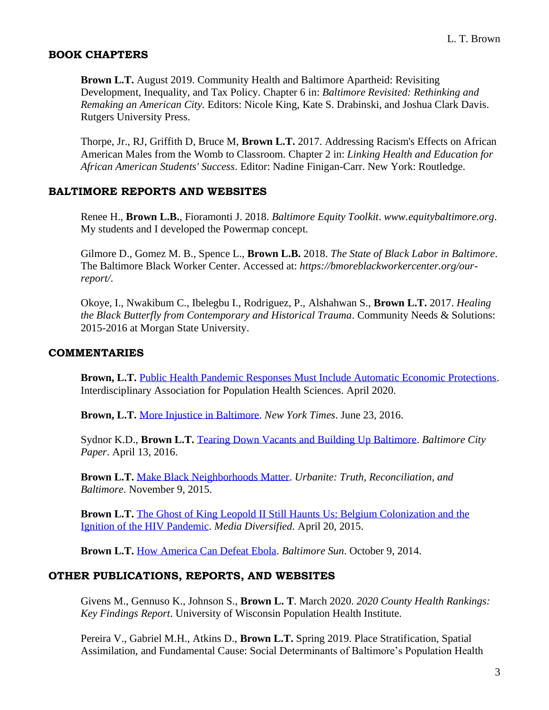### **BOOK CHAPTERS**

**Brown L.T.** August 2019. Community Health and Baltimore Apartheid: Revisiting Development, Inequality, and Tax Policy. Chapter 6 in: *Baltimore Revisited: Rethinking and Remaking an American City.* Editors: Nicole King, Kate S. Drabinski, and Joshua Clark Davis. Rutgers University Press.

Thorpe, Jr., RJ, Griffith D, Bruce M, **Brown L.T.** 2017. Addressing Racism's Effects on African American Males from the Womb to Classroom. Chapter 2 in: *Linking Health and Education for African American Students' Success*. Editor: Nadine Finigan-Carr. New York: Routledge.

### **BALTIMORE REPORTS AND WEBSITES**

Renee H., **Brown L.B.**, Fioramonti J. 2018. *Baltimore Equity Toolkit*. *www.equitybaltimore.org*. My students and I developed the Powermap concept.

Gilmore D., Gomez M. B., Spence L., **Brown L.B.** 2018. *The State of Black Labor in Baltimore*. The Baltimore Black Worker Center. Accessed at: *https://bmoreblackworkercenter.org/ourreport/*.

Okoye, I., Nwakibum C., Ibelegbu I., Rodriguez, P., Alshahwan S., **Brown L.T.** 2017. *Healing the Black Butterfly from Contemporary and Historical Trauma*. Community Needs & Solutions: 2015-2016 at Morgan State University.

### **COMMENTARIES**

**Brown, L.T.** [Public Health Pandemic Responses Must Include Automatic Economic Protections.](https://iaphs.org/public-health-pandemic-responses-must-include-automatic-economic-protections/) Interdisciplinary Association for Population Health Sciences. April 2020.

**Brown, L.T.** [More Injustice in Baltimore.](https://www.nytimes.com/2016/06/23/opinion/more-injustice-in-baltimore.html) *New York Times*. June 23, 2016.

Sydnor K.D., **Brown L.T.** [Tearing Down Vacants and Building Up Baltimore.](https://www.baltimoresun.com/citypaper/bcp-041316-feature-lead-commentary-20160413-story.html) *Baltimore City Paper*. April 13, 2016.

**Brown L.T.** [Make Black Neighborhoods Matter.](https://www.urbanitebaltimore.com/100/fix-the-city/#sthash.AviKZTfQ.dpbs) *Urbanite: Truth, Reconciliation, and Baltimore*. November 9, 2015.

**Brown L.T.** [The Ghost of King Leopold II Still Haunts Us: Belgium Colonization and the](https://mediadiversified.org/2015/04/20/the-ghost-of-king-leopold-ii-still-haunts-us-belgium-colonization-the-ignition-of-the-hiv-global-pandemic/)  [Ignition of the HIV Pandemic.](https://mediadiversified.org/2015/04/20/the-ghost-of-king-leopold-ii-still-haunts-us-belgium-colonization-the-ignition-of-the-hiv-global-pandemic/) *Media Diversified*. April 20, 2015.

**Brown L.T.** [How America Can Defeat Ebola.](https://www.baltimoresun.com/opinion/readers-respond/bs-ed-ebola-letter-20141009-story.html) *Baltimore Sun*. October 9, 2014.

# **OTHER PUBLICATIONS, REPORTS, AND WEBSITES**

Givens M., Gennuso K., Johnson S., **Brown L. T**. March 2020. *2020 County Health Rankings: Key Findings Report*. University of Wisconsin Population Health Institute.

Pereira V., Gabriel M.H., Atkins D., **Brown L.T.** Spring 2019. Place Stratification, Spatial Assimilation, and Fundamental Cause: Social Determinants of Baltimore's Population Health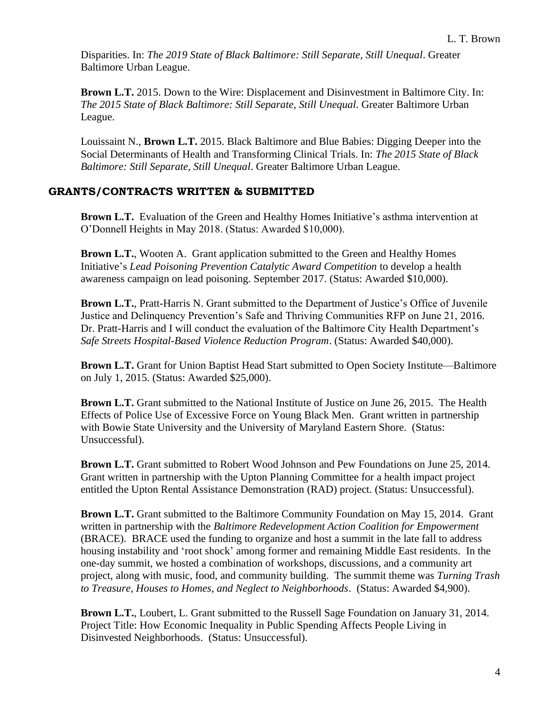Disparities. In: *The 2019 State of Black Baltimore: Still Separate, Still Unequal*. Greater Baltimore Urban League.

**Brown L.T.** 2015. Down to the Wire: Displacement and Disinvestment in Baltimore City. In: *The 2015 State of Black Baltimore: Still Separate, Still Unequal*. Greater Baltimore Urban League.

Louissaint N., **Brown L.T.** 2015. Black Baltimore and Blue Babies: Digging Deeper into the Social Determinants of Health and Transforming Clinical Trials. In: *The 2015 State of Black Baltimore: Still Separate, Still Unequal*. Greater Baltimore Urban League.

# **GRANTS/CONTRACTS WRITTEN & SUBMITTED**

**Brown L.T.** Evaluation of the Green and Healthy Homes Initiative's asthma intervention at O'Donnell Heights in May 2018. (Status: Awarded \$10,000).

**Brown L.T.**, Wooten A.Grant application submitted to the Green and Healthy Homes Initiative's *Lead Poisoning Prevention Catalytic Award Competition* to develop a health awareness campaign on lead poisoning. September 2017. (Status: Awarded \$10,000).

**Brown L.T.**, Pratt-Harris N. Grant submitted to the Department of Justice's Office of Juvenile Justice and Delinquency Prevention's Safe and Thriving Communities RFP on June 21, 2016. Dr. Pratt-Harris and I will conduct the evaluation of the Baltimore City Health Department's *Safe Streets Hospital-Based Violence Reduction Program*. (Status: Awarded \$40,000).

**Brown L.T.** Grant for Union Baptist Head Start submitted to Open Society Institute—Baltimore on July 1, 2015. (Status: Awarded \$25,000).

**Brown L.T.** Grant submitted to the National Institute of Justice on June 26, 2015. The Health Effects of Police Use of Excessive Force on Young Black Men. Grant written in partnership with Bowie State University and the University of Maryland Eastern Shore. (Status: Unsuccessful).

**Brown L.T.** Grant submitted to Robert Wood Johnson and Pew Foundations on June 25, 2014. Grant written in partnership with the Upton Planning Committee for a health impact project entitled the Upton Rental Assistance Demonstration (RAD) project. (Status: Unsuccessful).

**Brown L.T.** Grant submitted to the Baltimore Community Foundation on May 15, 2014. Grant written in partnership with the *Baltimore Redevelopment Action Coalition for Empowerment* (BRACE). BRACE used the funding to organize and host a summit in the late fall to address housing instability and 'root shock' among former and remaining Middle East residents. In the one-day summit, we hosted a combination of workshops, discussions, and a community art project, along with music, food, and community building. The summit theme was *Turning Trash to Treasure, Houses to Homes, and Neglect to Neighborhoods*. (Status: Awarded \$4,900).

**Brown L.T.**, Loubert, L. Grant submitted to the Russell Sage Foundation on January 31, 2014. Project Title: How Economic Inequality in Public Spending Affects People Living in Disinvested Neighborhoods. (Status: Unsuccessful).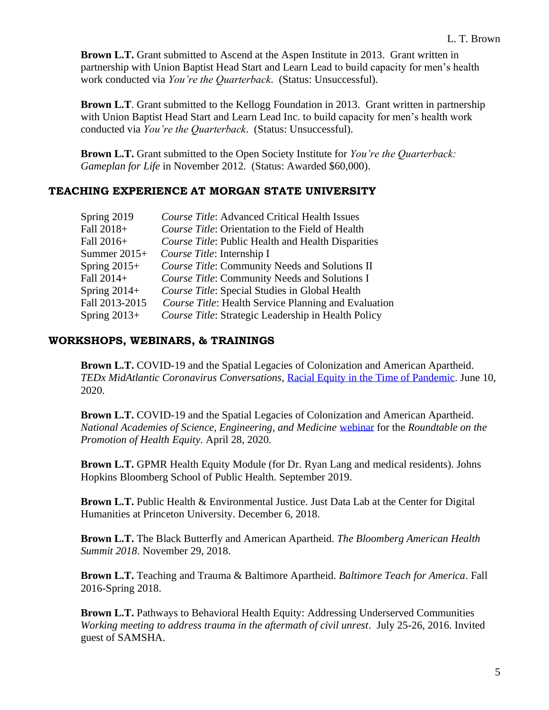**Brown L.T.** Grant submitted to Ascend at the Aspen Institute in 2013. Grant written in partnership with Union Baptist Head Start and Learn Lead to build capacity for men's health work conducted via *You're the Quarterback*. (Status: Unsuccessful).

**Brown L.T**. Grant submitted to the Kellogg Foundation in 2013. Grant written in partnership with Union Baptist Head Start and Learn Lead Inc. to build capacity for men's health work conducted via *You're the Quarterback*. (Status: Unsuccessful).

**Brown L.T.** Grant submitted to the Open Society Institute for *You're the Quarterback: Gameplan for Life* in November 2012. (Status: Awarded \$60,000).

#### **TEACHING EXPERIENCE AT MORGAN STATE UNIVERSITY**

| Spring 2019    | Course Title: Advanced Critical Health Issues               |
|----------------|-------------------------------------------------------------|
| Fall 2018+     | Course Title: Orientation to the Field of Health            |
| Fall 2016+     | Course Title: Public Health and Health Disparities          |
| Summer $2015+$ | Course Title: Internship I                                  |
| Spring $2015+$ | Course Title: Community Needs and Solutions II              |
| Fall 2014+     | Course Title: Community Needs and Solutions I               |
| Spring $2014+$ | Course Title: Special Studies in Global Health              |
| Fall 2013-2015 | <i>Course Title:</i> Health Service Planning and Evaluation |
| Spring $2013+$ | Course Title: Strategic Leadership in Health Policy         |

#### **WORKSHOPS, WEBINARS, & TRAININGS**

**Brown L.T.** COVID-19 and the Spatial Legacies of Colonization and American Apartheid. *TEDx MidAtlantic Coronavirus Conversations*, [Racial Equity in the Time of Pandemic.](https://us02web.zoom.us/webinar/register/WN_AlJ5Mb84SUmMVEAF4tGdsw) June 10, 2020.

**Brown L.T.** COVID-19 and the Spatial Legacies of Colonization and American Apartheid. *National Academies of Science, Engineering, and Medicine* [webinar](https://www.nationalacademies.org/event/04-28-2020/webinar-pursuing-data-on-covid-19-the-health-inequity-multiplier) for the *Roundtable on the Promotion of Health Equity*. April 28, 2020.

**Brown L.T.** GPMR Health Equity Module (for Dr. Ryan Lang and medical residents). Johns Hopkins Bloomberg School of Public Health. September 2019.

**Brown L.T.** Public Health & Environmental Justice. Just Data Lab at the Center for Digital Humanities at Princeton University. December 6, 2018.

**Brown L.T.** The Black Butterfly and American Apartheid. *The Bloomberg American Health Summit 2018*. November 29, 2018.

**Brown L.T.** Teaching and Trauma & Baltimore Apartheid. *Baltimore Teach for America*. Fall 2016-Spring 2018.

**Brown L.T.** Pathways to Behavioral Health Equity: Addressing Underserved Communities *Working meeting to address trauma in the aftermath of civil unrest*. July 25-26, 2016. Invited guest of SAMSHA.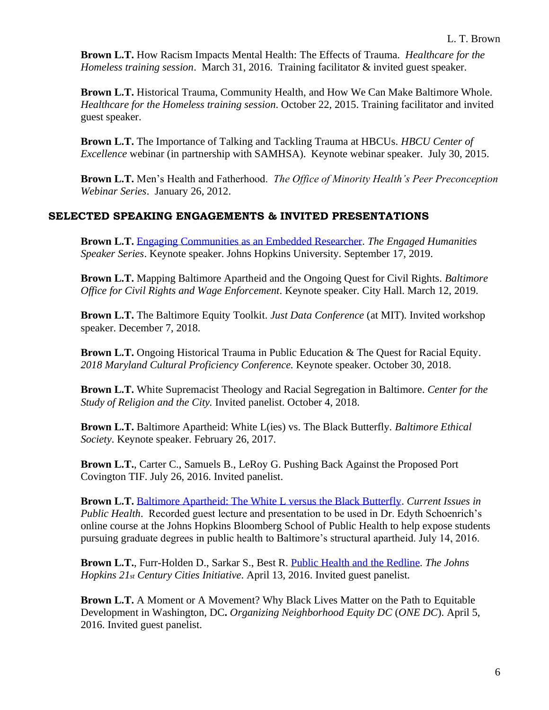**Brown L.T.** How Racism Impacts Mental Health: The Effects of Trauma. *Healthcare for the Homeless training session*. March 31, 2016. Training facilitator & invited guest speaker.

**Brown L.T.** Historical Trauma, Community Health, and How We Can Make Baltimore Whole. *Healthcare for the Homeless training session*. October 22, 2015. Training facilitator and invited guest speaker.

**Brown L.T.** The Importance of Talking and Tackling Trauma at HBCUs. *HBCU Center of Excellence* webinar (in partnership with SAMHSA). Keynote webinar speaker. July 30, 2015.

**Brown L.T.** Men's Health and Fatherhood. *The Office of Minority Health's Peer Preconception Webinar Series*. January 26, 2012.

# **SELECTED SPEAKING ENGAGEMENTS & INVITED PRESENTATIONS**

**Brown L.T.** [Engaging Communities as an Embedded Researcher.](https://www.jhunewsletter.com/article/2019/09/morgan-state-university-professor-discusses-baltimore-hopkins-relationship) *The Engaged Humanities Speaker Series*. Keynote speaker. Johns Hopkins University. September 17, 2019.

**Brown L.T.** Mapping Baltimore Apartheid and the Ongoing Quest for Civil Rights. *Baltimore Office for Civil Rights and Wage Enforcement*. Keynote speaker. City Hall. March 12, 2019.

**Brown L.T.** The Baltimore Equity Toolkit. *Just Data Conference* (at MIT)*.* Invited workshop speaker. December 7, 2018.

**Brown L.T.** Ongoing Historical Trauma in Public Education & The Quest for Racial Equity. *2018 Maryland Cultural Proficiency Conference.* Keynote speaker. October 30, 2018.

**Brown L.T.** White Supremacist Theology and Racial Segregation in Baltimore. *Center for the Study of Religion and the City.* Invited panelist. October 4, 2018.

**Brown L.T.** Baltimore Apartheid: White L(ies) vs. The Black Butterfly. *Baltimore Ethical Society*. Keynote speaker. February 26, 2017.

**Brown L.T.**, Carter C., Samuels B., LeRoy G. Pushing Back Against the Proposed Port Covington TIF. July 26, 2016. Invited panelist.

**Brown L.T.** [Baltimore Apartheid: The White L versus the Black Butterfly.](https://www.youtube.com/watch?v=P_zKrBh-m30&t=1s) *Current Issues in Public Health.* Recorded guest lecture and presentation to be used in Dr. Edyth Schoenrich's online course at the Johns Hopkins Bloomberg School of Public Health to help expose students pursuing graduate degrees in public health to Baltimore's structural apartheid. July 14, 2016.

**Brown L.T.**, Furr-Holden D., Sarkar S., Best R. [Public Health and the Redline.](https://hub.jhu.edu/2016/04/14/redlining-baltimore-public-health-disparities/) *The Johns Hopkins 21st Century Cities Initiative*. April 13, 2016. Invited guest panelist.

**Brown L.T.** A Moment or A Movement? Why Black Lives Matter on the Path to Equitable Development in Washington, DC**.** *Organizing Neighborhood Equity DC* (*ONE DC*). April 5, 2016. Invited guest panelist.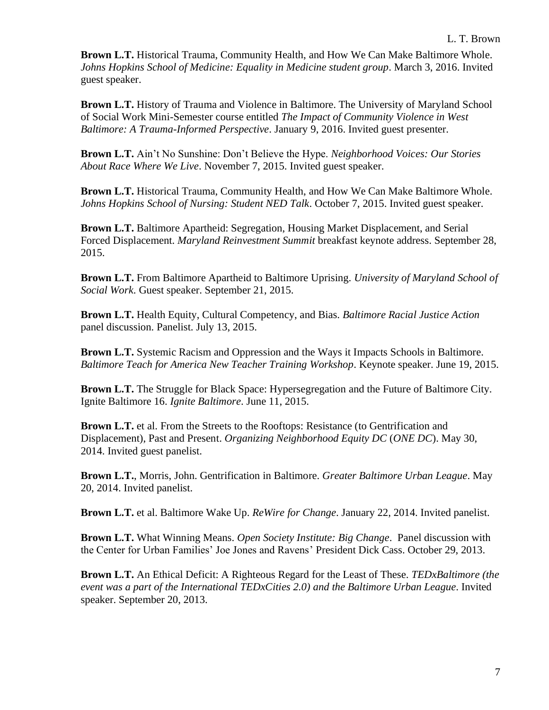**Brown L.T.** Historical Trauma, Community Health, and How We Can Make Baltimore Whole. *Johns Hopkins School of Medicine: Equality in Medicine student group*. March 3, 2016. Invited guest speaker.

**Brown L.T.** History of Trauma and Violence in Baltimore. The University of Maryland School of Social Work Mini-Semester course entitled *The Impact of Community Violence in West Baltimore: A Trauma-Informed Perspective*. January 9, 2016. Invited guest presenter.

**Brown L.T.** Ain't No Sunshine: Don't Believe the Hype. *Neighborhood Voices: Our Stories About Race Where We Live*. November 7, 2015. Invited guest speaker.

**Brown L.T.** Historical Trauma, Community Health, and How We Can Make Baltimore Whole. *Johns Hopkins School of Nursing: Student NED Talk*. October 7, 2015. Invited guest speaker.

**Brown L.T.** Baltimore Apartheid: Segregation, Housing Market Displacement, and Serial Forced Displacement. *Maryland Reinvestment Summit* breakfast keynote address. September 28, 2015.

**Brown L.T.** From Baltimore Apartheid to Baltimore Uprising. *University of Maryland School of Social Work*. Guest speaker. September 21, 2015.

**Brown L.T.** Health Equity, Cultural Competency, and Bias. *Baltimore Racial Justice Action* panel discussion. Panelist. July 13, 2015.

**Brown L.T.** Systemic Racism and Oppression and the Ways it Impacts Schools in Baltimore. *Baltimore Teach for America New Teacher Training Workshop*. Keynote speaker. June 19, 2015.

**Brown L.T.** The Struggle for Black Space: Hypersegregation and the Future of Baltimore City. Ignite Baltimore 16. *Ignite Baltimore*. June 11, 2015.

**Brown L.T.** et al. From the Streets to the Rooftops: Resistance (to Gentrification and Displacement), Past and Present. *Organizing Neighborhood Equity DC* (*ONE DC*). May 30, 2014. Invited guest panelist.

**Brown L.T.**, Morris, John. Gentrification in Baltimore. *Greater Baltimore Urban League*. May 20, 2014. Invited panelist.

**Brown L.T.** et al. Baltimore Wake Up. *ReWire for Change*. January 22, 2014. Invited panelist.

**Brown L.T.** What Winning Means. *Open Society Institute: Big Change*. Panel discussion with the Center for Urban Families' Joe Jones and Ravens' President Dick Cass. October 29, 2013.

**Brown L.T.** An Ethical Deficit: A Righteous Regard for the Least of These. *TEDxBaltimore (the event was a part of the International TEDxCities 2.0) and the Baltimore Urban League*. Invited speaker. September 20, 2013.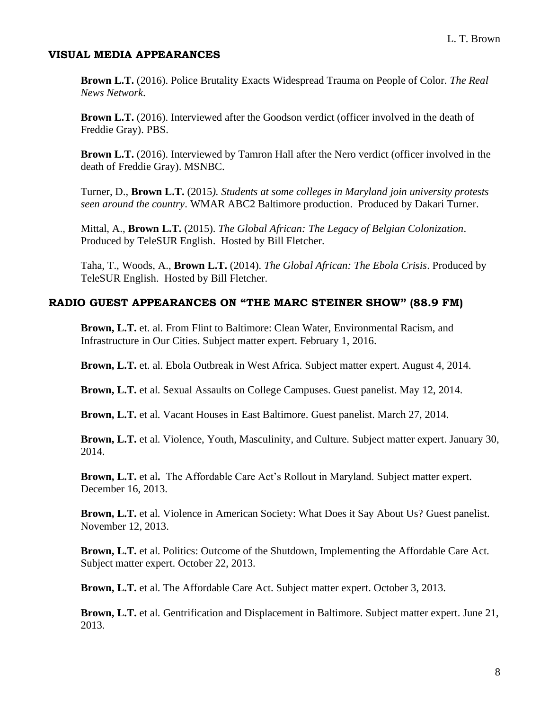### **VISUAL MEDIA APPEARANCES**

**Brown L.T.** (2016). Police Brutality Exacts Widespread Trauma on People of Color. *The Real News Network*.

**Brown L.T.** (2016). Interviewed after the Goodson verdict (officer involved in the death of Freddie Gray). PBS.

**Brown L.T.** (2016). Interviewed by Tamron Hall after the Nero verdict (officer involved in the death of Freddie Gray). MSNBC.

Turner, D., **Brown L.T.** (2015*). Students at some colleges in Maryland join university protests seen around the country*. WMAR ABC2 Baltimore production. Produced by Dakari Turner.

Mittal, A., **Brown L.T.** (2015). *The Global African: The Legacy of Belgian Colonization*. Produced by TeleSUR English. Hosted by Bill Fletcher.

Taha, T., Woods, A., **Brown L.T.** (2014). *The Global African: The Ebola Crisis*. Produced by TeleSUR English. Hosted by Bill Fletcher.

# **RADIO GUEST APPEARANCES ON "THE MARC STEINER SHOW" (88.9 FM)**

**Brown, L.T.** et. al. From Flint to Baltimore: Clean Water, Environmental Racism, and Infrastructure in Our Cities. Subject matter expert. February 1, 2016.

**Brown, L.T.** et. al. Ebola Outbreak in West Africa. Subject matter expert. August 4, 2014.

**Brown, L.T.** et al. Sexual Assaults on College Campuses. Guest panelist. May 12, 2014.

**Brown, L.T.** et al. Vacant Houses in East Baltimore. Guest panelist. March 27, 2014.

**Brown, L.T.** et al. Violence, Youth, Masculinity, and Culture. Subject matter expert. January 30, 2014.

**Brown, L.T.** et al**.** The Affordable Care Act's Rollout in Maryland. Subject matter expert. December 16, 2013.

**Brown, L.T.** et al. Violence in American Society: What Does it Say About Us? Guest panelist. November 12, 2013.

**Brown, L.T.** et al. Politics: Outcome of the Shutdown, Implementing the Affordable Care Act. Subject matter expert. October 22, 2013.

**Brown, L.T.** et al. The Affordable Care Act. Subject matter expert. October 3, 2013.

**Brown, L.T.** et al. Gentrification and Displacement in Baltimore. Subject matter expert. June 21, 2013.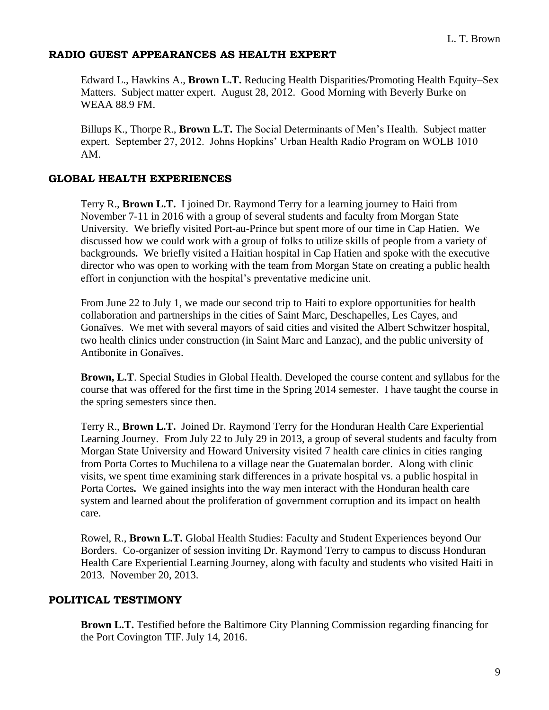# **RADIO GUEST APPEARANCES AS HEALTH EXPERT**

Edward L., Hawkins A., **Brown L.T.** Reducing Health Disparities/Promoting Health Equity–Sex Matters. Subject matter expert. August 28, 2012. Good Morning with Beverly Burke on WEAA 88.9 FM.

Billups K., Thorpe R., **Brown L.T.** The Social Determinants of Men's Health. Subject matter expert. September 27, 2012. Johns Hopkins' Urban Health Radio Program on WOLB 1010 AM.

# **GLOBAL HEALTH EXPERIENCES**

Terry R., **Brown L.T.** I joined Dr. Raymond Terry for a learning journey to Haiti from November 7-11 in 2016 with a group of several students and faculty from Morgan State University*.* We briefly visited Port-au-Prince but spent more of our time in Cap Hatien. We discussed how we could work with a group of folks to utilize skills of people from a variety of backgrounds*.* We briefly visited a Haitian hospital in Cap Hatien and spoke with the executive director who was open to working with the team from Morgan State on creating a public health effort in conjunction with the hospital's preventative medicine unit.

From June 22 to July 1, we made our second trip to Haiti to explore opportunities for health collaboration and partnerships in the cities of Saint Marc, Deschapelles, Les Cayes, and Gonaïves. We met with several mayors of said cities and visited the Albert Schwitzer hospital, two health clinics under construction (in Saint Marc and Lanzac), and the public university of Antibonite in Gonaïves.

**Brown, L.T**. Special Studies in Global Health. Developed the course content and syllabus for the course that was offered for the first time in the Spring 2014 semester. I have taught the course in the spring semesters since then.

Terry R., **Brown L.T.** Joined Dr. Raymond Terry for the Honduran Health Care Experiential Learning Journey. From July 22 to July 29 in 2013, a group of several students and faculty from Morgan State University and Howard University visited 7 health care clinics in cities ranging from Porta Cortes to Muchilena to a village near the Guatemalan border. Along with clinic visits, we spent time examining stark differences in a private hospital vs. a public hospital in Porta Cortes*.* We gained insights into the way men interact with the Honduran health care system and learned about the proliferation of government corruption and its impact on health care.

Rowel, R., **Brown L.T.** Global Health Studies: Faculty and Student Experiences beyond Our Borders. Co-organizer of session inviting Dr. Raymond Terry to campus to discuss Honduran Health Care Experiential Learning Journey, along with faculty and students who visited Haiti in 2013. November 20, 2013.

# **POLITICAL TESTIMONY**

**Brown L.T.** Testified before the Baltimore City Planning Commission regarding financing for the Port Covington TIF. July 14, 2016.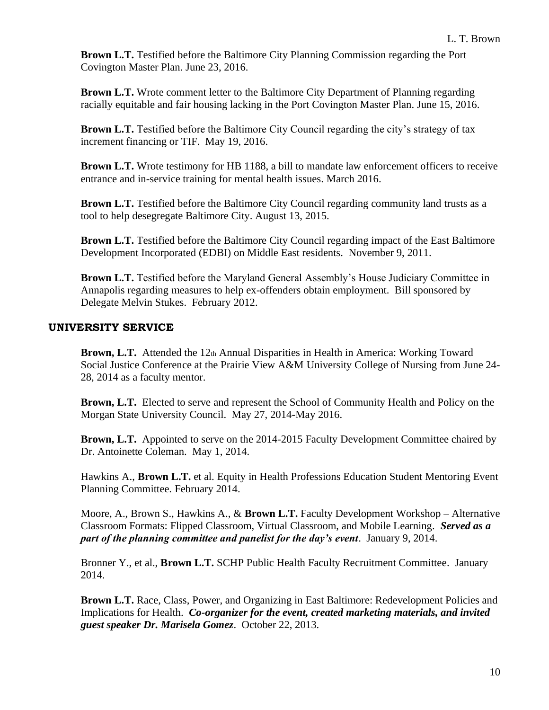**Brown L.T.** Testified before the Baltimore City Planning Commission regarding the Port Covington Master Plan. June 23, 2016.

**Brown L.T.** Wrote comment letter to the Baltimore City Department of Planning regarding racially equitable and fair housing lacking in the Port Covington Master Plan. June 15, 2016.

**Brown L.T.** Testified before the Baltimore City Council regarding the city's strategy of tax increment financing or TIF. May 19, 2016.

**Brown L.T.** Wrote testimony for HB 1188, a bill to mandate law enforcement officers to receive entrance and in-service training for mental health issues. March 2016.

**Brown L.T.** Testified before the Baltimore City Council regarding community land trusts as a tool to help desegregate Baltimore City. August 13, 2015.

**Brown L.T.** Testified before the Baltimore City Council regarding impact of the East Baltimore Development Incorporated (EDBI) on Middle East residents. November 9, 2011.

**Brown L.T.** Testified before the Maryland General Assembly's House Judiciary Committee in Annapolis regarding measures to help ex-offenders obtain employment. Bill sponsored by Delegate Melvin Stukes. February 2012.

# **UNIVERSITY SERVICE**

**Brown, L.T.** Attended the 12th Annual Disparities in Health in America: Working Toward Social Justice Conference at the Prairie View A&M University College of Nursing from June 24- 28, 2014 as a faculty mentor.

**Brown, L.T.** Elected to serve and represent the School of Community Health and Policy on the Morgan State University Council. May 27, 2014-May 2016.

**Brown, L.T.** Appointed to serve on the 2014-2015 Faculty Development Committee chaired by Dr. Antoinette Coleman. May 1, 2014.

Hawkins A., **Brown L.T.** et al. Equity in Health Professions Education Student Mentoring Event Planning Committee. February 2014.

Moore, A., Brown S., Hawkins A., & **Brown L.T.** Faculty Development Workshop – Alternative Classroom Formats: Flipped Classroom, Virtual Classroom, and Mobile Learning. *Served as a part of the planning committee and panelist for the day's event*. January 9, 2014.

Bronner Y., et al., **Brown L.T.** SCHP Public Health Faculty Recruitment Committee. January 2014.

**Brown L.T.** Race, Class, Power, and Organizing in East Baltimore: Redevelopment Policies and Implications for Health. *Co-organizer for the event, created marketing materials, and invited guest speaker Dr. Marisela Gomez*. October 22, 2013.